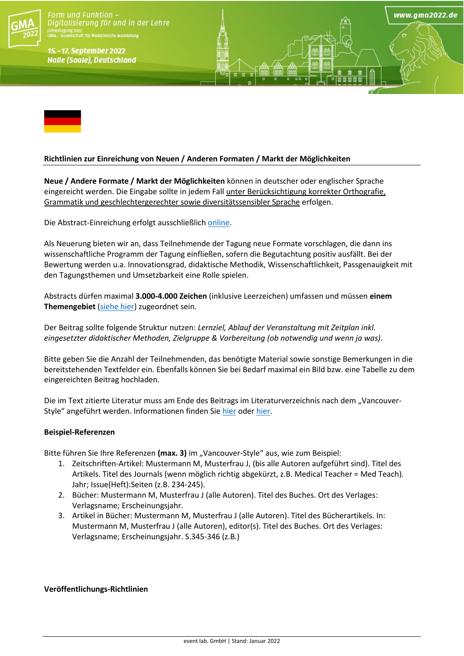

Form und Funktion  $\cdot$ Digitalisierung für und in der Lehre gung 2022<br>eseilschaft für Medizinische Ausbildung

15.-17. September 2022 **Halle (Saale), Deutschland** 



## **Richtlinien zur Einreichung von Neuen / Anderen Formaten / Markt der Möglichkeiten**

**Neue / Andere Formate / Markt der Möglichkeiten** können in deutscher oder englischer Sprache eingereicht werden. Die Eingabe sollte in jedem Fall unter Berücksichtigung korrekter Orthografie, Grammatik und geschlechtergerechter sowie diversitätssensibler Sprache erfolgen.

www.ama2022.de

Die Abstract-Einreichung erfolgt ausschließlich [online.](https://eventclass.org/contxt_gma2022/)

Als Neuerung bieten wir an, dass Teilnehmende der Tagung neue Formate vorschlagen, die dann ins wissenschaftliche Programm der Tagung einfließen, sofern die Begutachtung positiv ausfällt. Bei der Bewertung werden u.a. Innovationsgrad, didaktische Methodik, Wissenschaftlichkeit, Passgenauigkeit mit den Tagungsthemen und Umsetzbarkeit eine Rolle spielen.

Abstracts dürfen maximal **3.000-4.000 Zeichen** (inklusive Leerzeichen) umfassen und müssen **einem Themengebiet** [\(siehe hier\)](https://gma2022.de/programm/schwerpunkte/) zugeordnet sein.

Der Beitrag sollte folgende Struktur nutzen: *Lernziel, Ablauf der Veranstaltung mit Zeitplan inkl. eingesetzter didaktischer Methoden, Zielgruppe & Vorbereitung (ob notwendig und wenn ja was)*.

Bitte geben Sie die Anzahl der Teilnehmenden, das benötigte Material sowie sonstige Bemerkungen in die bereitstehenden Textfelder ein. Ebenfalls können Sie bei Bedarf maximal ein Bild bzw. eine Tabelle zu dem eingereichten Beitrag hochladen.

Die im Text zitierte Literatur muss am Ende des Beitrags im Literaturverzeichnis nach dem "Vancouver-Style" angeführt werden. Informationen finden Sie [hier](https://www.nlm.nih.gov/bsd/uniform_requirements.html) oder [hier.](https://guides.lib.monash.edu/citing-referencing/vancouver)

## **Beispiel-Referenzen**

Bitte führen Sie Ihre Referenzen (max. 3) im "Vancouver-Style" aus, wie zum Beispiel:

- 1. Zeitschriften-Artikel: Mustermann M, Musterfrau J, (bis alle Autoren aufgeführt sind). Titel des Artikels. Titel des Journals (wenn möglich richtig abgekürzt, z.B. Medical Teacher = Med Teach). Jahr; Issue(Heft):Seiten (z.B. 234-245).
- 2. Bücher: Mustermann M, Musterfrau J (alle Autoren). Titel des Buches. Ort des Verlages: Verlagsname; Erscheinungsjahr.
- 3. Artikel in Bücher: Mustermann M, Musterfrau J (alle Autoren). Titel des Bücherartikels. In: Mustermann M, Musterfrau J (alle Autoren), editor(s). Titel des Buches. Ort des Verlages: Verlagsname; Erscheinungsjahr. S.345-346 (z.B.)

**Veröffentlichungs-Richtlinien**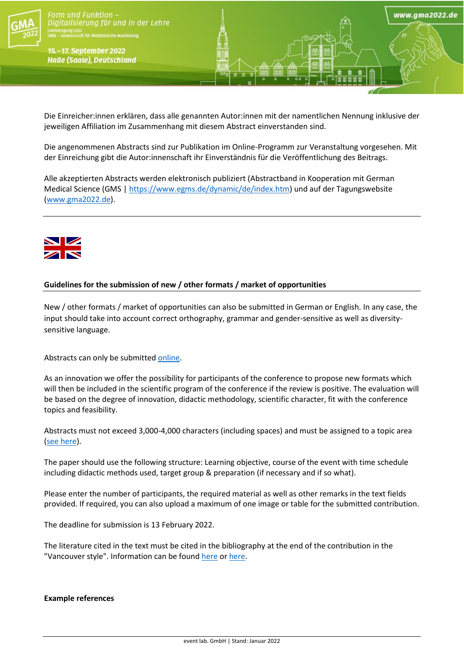

- **Orm** und Funktion-Digitalisierung für und in der Lehre gung 2022<br>eseilschaft für Medizinische Ausbildung<br>.

15.-17. September 2022 **Halle (Saale), Deutschland** 

Die Einreicher:innen erklären, dass alle genannten Autor:innen mit der namentlichen Nennung inklusive der jeweiligen Affiliation im Zusammenhang mit diesem Abstract einverstanden sind.

www.ama2022.de

Die angenommenen Abstracts sind zur Publikation im Online-Programm zur Veranstaltung vorgesehen. Mit der Einreichung gibt die Autor:innenschaft ihr Einverständnis für die Veröffentlichung des Beitrags.

Alle akzeptierten Abstracts werden elektronisch publiziert (Abstractband in Kooperation mit German Medical Science (GMS [| https://www.egms.de/dynamic/de/index.htm\)](https://www.egms.de/dynamic/de/index.htm) und auf der Tagungswebsite [\(www.gma2022.de\)](http://www.gma2022.de/).



## **Guidelines for the submission of new / other formats / market of opportunities**

New / other formats / market of opportunities can also be submitted in German or English. In any case, the input should take into account correct orthography, grammar and gender-sensitive as well as diversitysensitive language.

Abstracts can only be submitted [online.](https://eventclass.org/contxt_gma2022/)

As an innovation we offer the possibility for participants of the conference to propose new formats which will then be included in the scientific program of the conference if the review is positive. The evaluation will be based on the degree of innovation, didactic methodology, scientific character, fit with the conference topics and feasibility.

Abstracts must not exceed 3,000-4,000 characters (including spaces) and must be assigned to a topic area [\(see here\)](https://gma2022.de/programm/schwerpunkte/).

The paper should use the following structure: Learning objective, course of the event with time schedule including didactic methods used, target group & preparation (if necessary and if so what).

Please enter the number of participants, the required material as well as other remarks in the text fields provided. If required, you can also upload a maximum of one image or table for the submitted contribution.

The deadline for submission is 13 February 2022.

The literature cited in the text must be cited in the bibliography at the end of the contribution in the "Vancouver style". Information can be found [here](https://www.nlm.nih.gov/bsd/uniform_requirements.html) or [here.](https://guides.lib.monash.edu/citing-referencing/vancouver)

### **Example references**